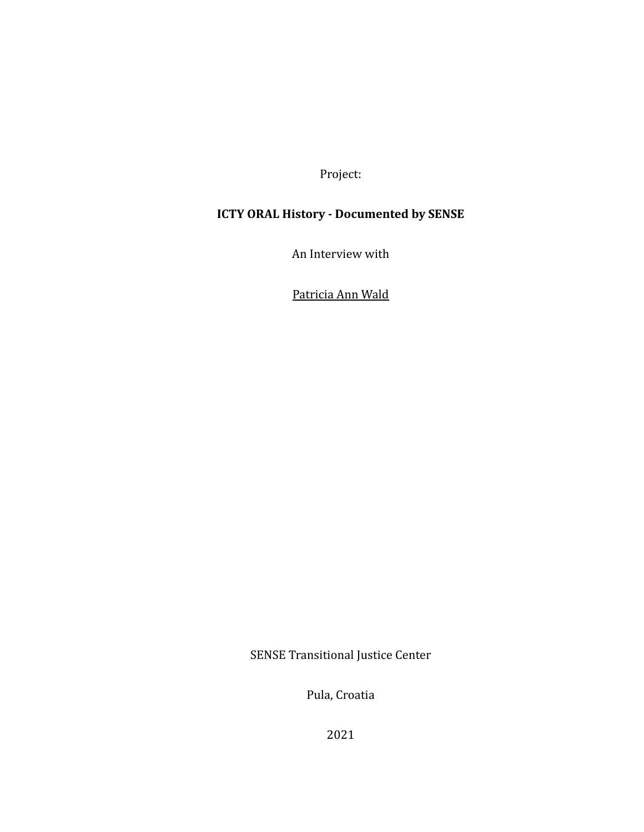Project:

## **ICTY ORAL History - Documented by SENSE**

An Interview with

Patricia Ann Wald

SENSE Transitional Justice Center

Pula, Croatia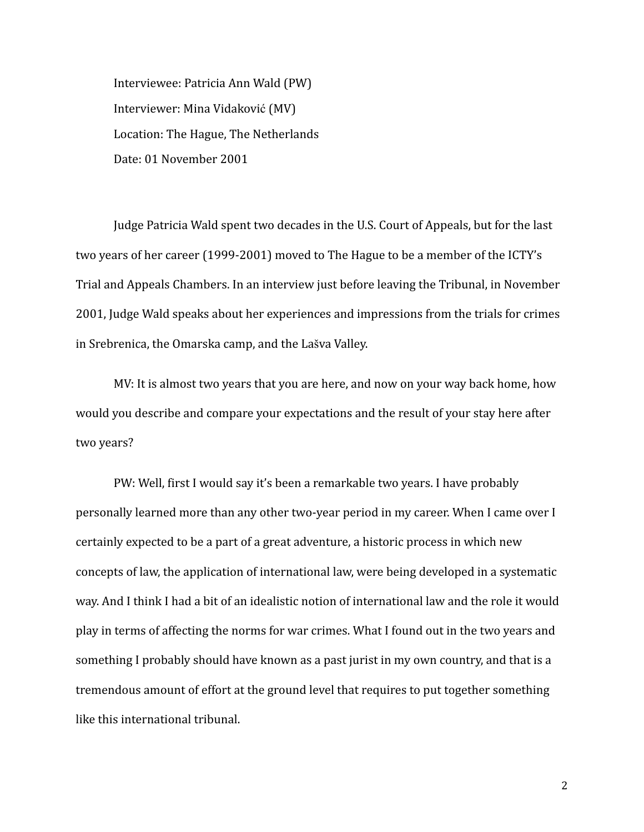Interviewee: Patricia Ann Wald (PW) Interviewer: Mina Vidaković (MV) Location: The Hague, The Netherlands Date: 01 November 2001

Judge Patricia Wald spent two decades in the U.S. Court of Appeals, but for the last two years of her career (1999-2001) moved to The Hague to be a member of the ICTY's Trial and Appeals Chambers. In an interview just before leaving the Tribunal, in November 2001, Judge Wald speaks about her experiences and impressions from the trials for crimes in Srebrenica, the Omarska camp, and the Lašva Valley.

MV: It is almost two years that you are here, and now on your way back home, how would you describe and compare your expectations and the result of your stay here after two years?

PW: Well, first I would say it's been a remarkable two years. I have probably personally learned more than any other two-year period in my career. When I came over I certainly expected to be a part of a great adventure, a historic process in which new concepts of law, the application of international law, were being developed in a systematic way. And I think I had a bit of an idealistic notion of international law and the role it would play in terms of affecting the norms for war crimes. What I found out in the two years and something I probably should have known as a past jurist in my own country, and that is a tremendous amount of effort at the ground level that requires to put together something like this international tribunal.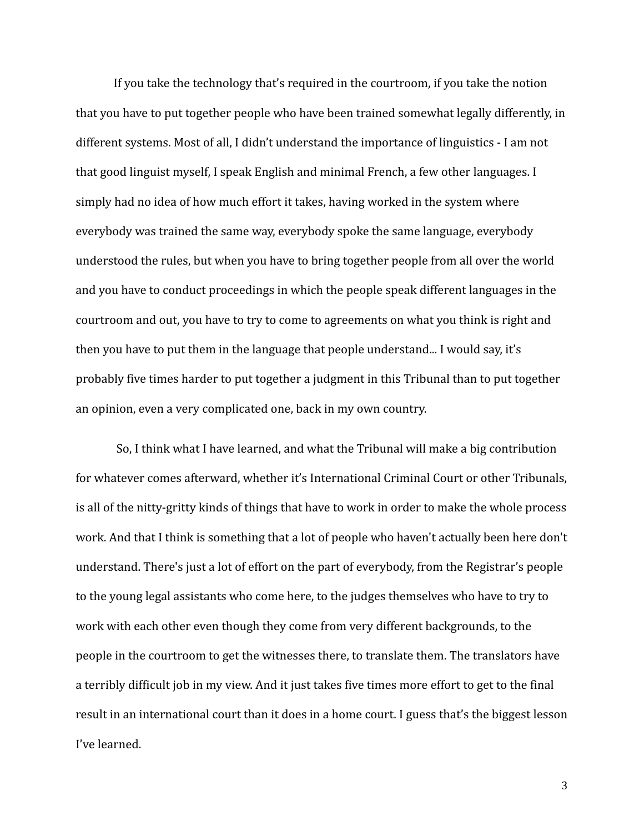If you take the technology that's required in the courtroom, if you take the notion that you have to put together people who have been trained somewhat legally differently, in different systems. Most of all, I didn't understand the importance of linguistics - I am not that good linguist myself, I speak English and minimal French, a few other languages. I simply had no idea of how much effort it takes, having worked in the system where everybody was trained the same way, everybody spoke the same language, everybody understood the rules, but when you have to bring together people from all over the world and you have to conduct proceedings in which the people speak different languages in the courtroom and out, you have to try to come to agreements on what you think is right and then you have to put them in the language that people understand... I would say, it's probably five times harder to put together a judgment in this Tribunal than to put together an opinion, even a very complicated one, back in my own country.

So, I think what I have learned, and what the Tribunal will make a big contribution for whatever comes afterward, whether it's International Criminal Court or other Tribunals, is all of the nitty-gritty kinds of things that have to work in order to make the whole process work. And that I think is something that a lot of people who haven't actually been here don't understand. There's just a lot of effort on the part of everybody, from the Registrar's people to the young legal assistants who come here, to the judges themselves who have to try to work with each other even though they come from very different backgrounds, to the people in the courtroom to get the witnesses there, to translate them. The translators have a terribly difficult job in my view. And it just takes five times more effort to get to the final result in an international court than it does in a home court. I guess that's the biggest lesson I've learned.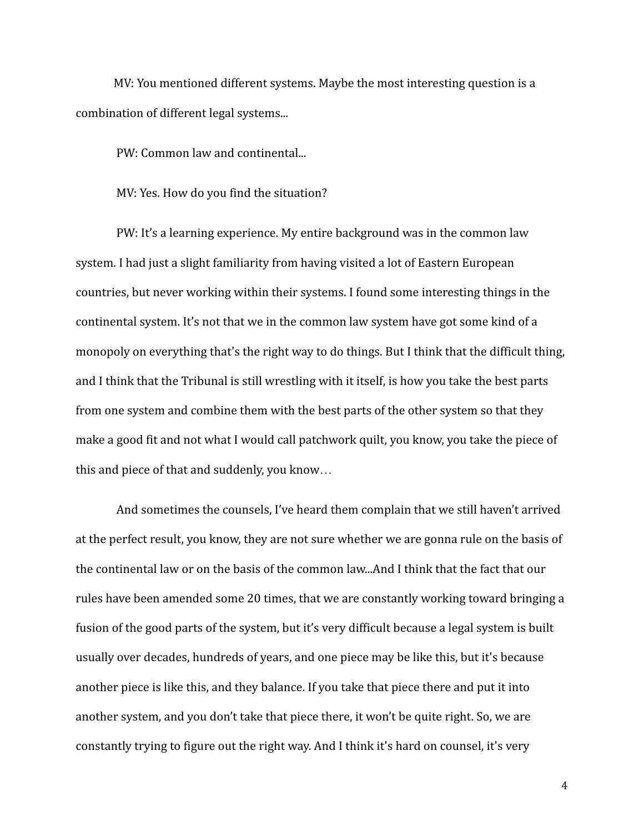MV: You mentioned different systems. Maybe the most interesting question is a combination of different legal systems...

PW: Common law and continental...

MV: Yes. How do you find the situation?

PW: It's a learning experience. My entire background was in the common law system. I had just a slight familiarity from having visited a lot of Eastern European countries, but never working within their systems. I found some interesting things in the continental system. It's not that we in the common law system have got some kind of a monopoly on everything that's the right way to do things. But I think that the difficult thing, and I think that the Tribunal is still wrestling with it itself, is how you take the best parts from one system and combine them with the best parts of the other system so that they make a good fit and not what I would call patchwork quilt, you know, you take the piece of this and piece of that and suddenly, you know…

And sometimes the counsels, I've heard them complain that we still haven't arrived at the perfect result, you know, they are not sure whether we are gonna rule on the basis of the continental law or on the basis of the common law...And I think that the fact that our rules have been amended some 20 times, that we are constantly working toward bringing a fusion of the good parts of the system, but it's very difficult because a legal system is built usually over decades, hundreds of years, and one piece may be like this, but it's because another piece is like this, and they balance. If you take that piece there and put it into another system, and you don't take that piece there, it won't be quite right. So, we are constantly trying to figure out the right way. And I think it's hard on counsel, it's very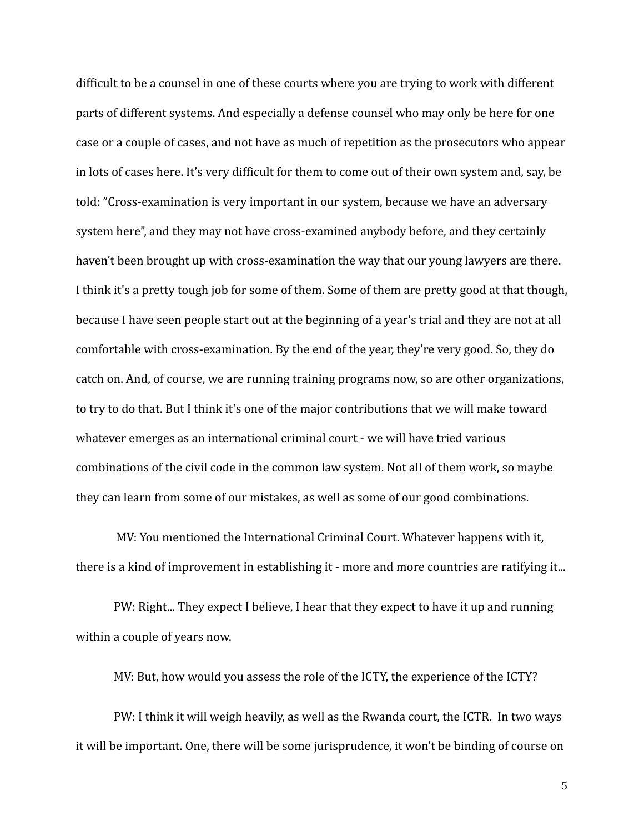difficult to be a counsel in one of these courts where you are trying to work with different parts of different systems. And especially a defense counsel who may only be here for one case or a couple of cases, and not have as much of repetition as the prosecutors who appear in lots of cases here. It's very difficult for them to come out of their own system and, say, be told: "Cross-examination is very important in our system, because we have an adversary system here", and they may not have cross-examined anybody before, and they certainly haven't been brought up with cross-examination the way that our young lawyers are there. I think it's a pretty tough job for some of them. Some of them are pretty good at that though, because I have seen people start out at the beginning of a year's trial and they are not at all comfortable with cross-examination. By the end of the year, they're very good. So, they do catch on. And, of course, we are running training programs now, so are other organizations, to try to do that. But I think it's one of the major contributions that we will make toward whatever emerges as an international criminal court - we will have tried various combinations of the civil code in the common law system. Not all of them work, so maybe they can learn from some of our mistakes, as well as some of our good combinations.

MV: You mentioned the International Criminal Court. Whatever happens with it, there is a kind of improvement in establishing it - more and more countries are ratifying it...

PW: Right... They expect I believe, I hear that they expect to have it up and running within a couple of years now.

MV: But, how would you assess the role of the ICTY, the experience of the ICTY?

PW: I think it will weigh heavily, as well as the Rwanda court, the ICTR. In two ways it will be important. One, there will be some jurisprudence, it won't be binding of course on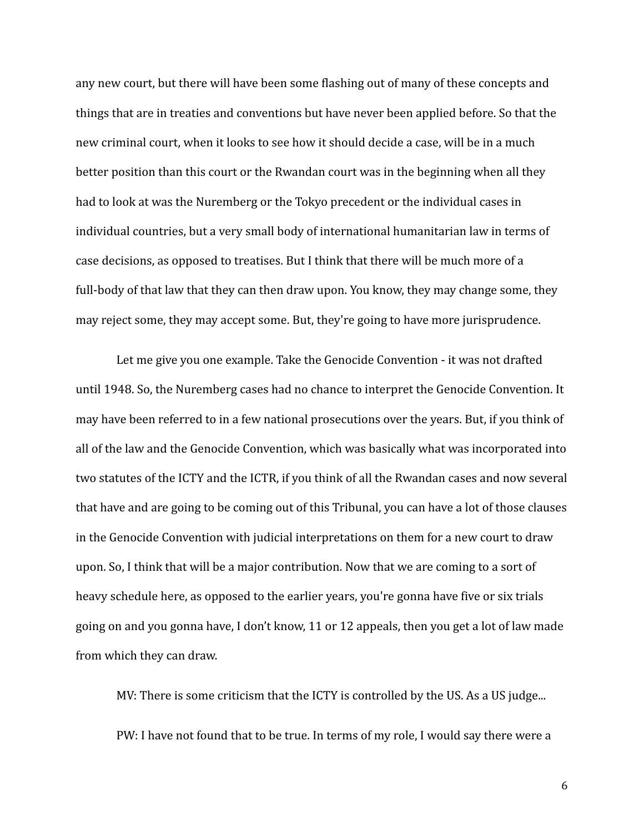any new court, but there will have been some flashing out of many of these concepts and things that are in treaties and conventions but have never been applied before. So that the new criminal court, when it looks to see how it should decide a case, will be in a much better position than this court or the Rwandan court was in the beginning when all they had to look at was the Nuremberg or the Tokyo precedent or the individual cases in individual countries, but a very small body of international humanitarian law in terms of case decisions, as opposed to treatises. But I think that there will be much more of a full-body of that law that they can then draw upon. You know, they may change some, they may reject some, they may accept some. But, they're going to have more jurisprudence.

Let me give you one example. Take the Genocide Convention - it was not drafted until 1948. So, the Nuremberg cases had no chance to interpret the Genocide Convention. It may have been referred to in a few national prosecutions over the years. But, if you think of all of the law and the Genocide Convention, which was basically what was incorporated into two statutes of the ICTY and the ICTR, if you think of all the Rwandan cases and now several that have and are going to be coming out of this Tribunal, you can have a lot of those clauses in the Genocide Convention with judicial interpretations on them for a new court to draw upon. So, I think that will be a major contribution. Now that we are coming to a sort of heavy schedule here, as opposed to the earlier years, you're gonna have five or six trials going on and you gonna have, I don't know, 11 or 12 appeals, then you get a lot of law made from which they can draw.

MV: There is some criticism that the ICTY is controlled by the US. As a US judge... PW: I have not found that to be true. In terms of my role, I would say there were a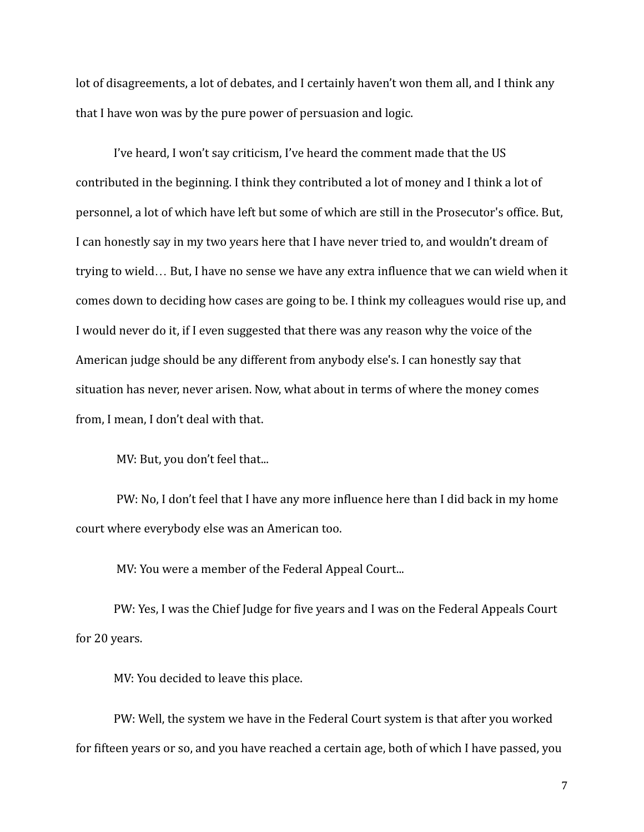lot of disagreements, a lot of debates, and I certainly haven't won them all, and I think any that I have won was by the pure power of persuasion and logic.

I've heard, I won't say criticism, I've heard the comment made that the US contributed in the beginning. I think they contributed a lot of money and I think a lot of personnel, a lot of which have left but some of which are still in the Prosecutor's office. But, I can honestly say in my two years here that I have never tried to, and wouldn't dream of trying to wield… But, I have no sense we have any extra influence that we can wield when it comes down to deciding how cases are going to be. I think my colleagues would rise up, and I would never do it, if I even suggested that there was any reason why the voice of the American judge should be any different from anybody else's. I can honestly say that situation has never, never arisen. Now, what about in terms of where the money comes from, I mean, I don't deal with that.

MV: But, you don't feel that...

PW: No, I don't feel that I have any more influence here than I did back in my home court where everybody else was an American too.

MV: You were a member of the Federal Appeal Court...

PW: Yes, I was the Chief Judge for five years and I was on the Federal Appeals Court for 20 years.

MV: You decided to leave this place.

PW: Well, the system we have in the Federal Court system is that after you worked for fifteen years or so, and you have reached a certain age, both of which I have passed, you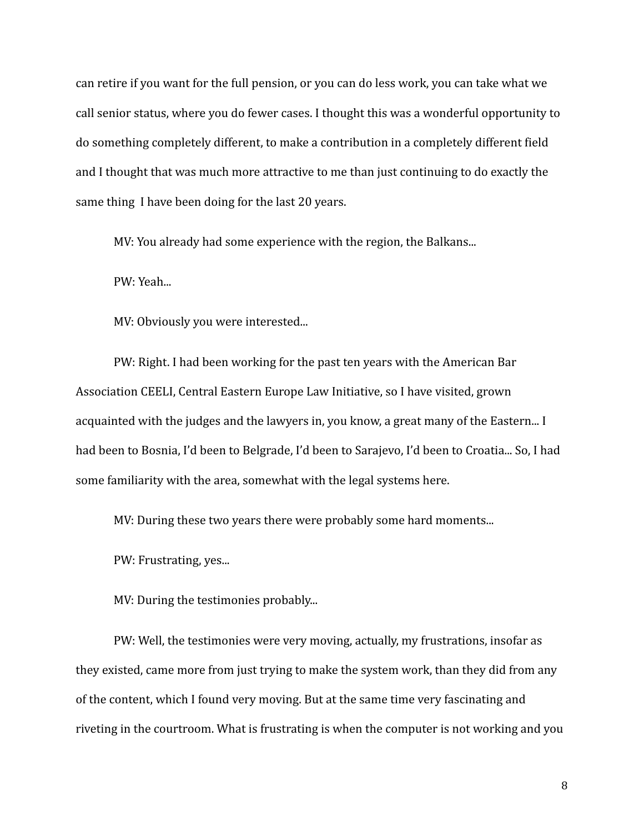can retire if you want for the full pension, or you can do less work, you can take what we call senior status, where you do fewer cases. I thought this was a wonderful opportunity to do something completely different, to make a contribution in a completely different field and I thought that was much more attractive to me than just continuing to do exactly the same thing I have been doing for the last 20 years.

MV: You already had some experience with the region, the Balkans...

PW: Yeah...

MV: Obviously you were interested...

PW: Right. I had been working for the past ten years with the American Bar Association CEELI, Central Eastern Europe Law Initiative, so I have visited, grown acquainted with the judges and the lawyers in, you know, a great many of the Eastern... I had been to Bosnia, I'd been to Belgrade, I'd been to Sarajevo, I'd been to Croatia... So, I had some familiarity with the area, somewhat with the legal systems here.

MV: During these two years there were probably some hard moments...

PW: Frustrating, yes...

MV: During the testimonies probably...

PW: Well, the testimonies were very moving, actually, my frustrations, insofar as they existed, came more from just trying to make the system work, than they did from any of the content, which I found very moving. But at the same time very fascinating and riveting in the courtroom. What is frustrating is when the computer is not working and you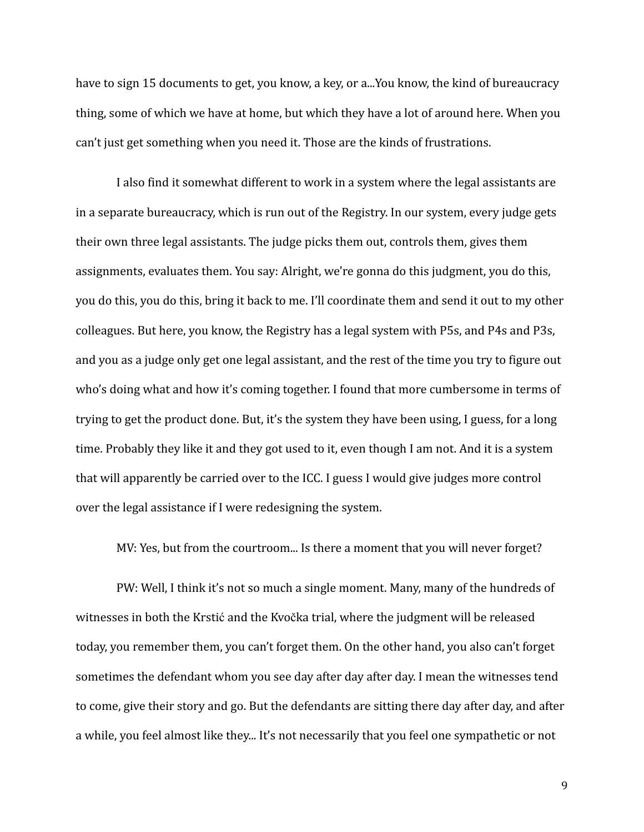have to sign 15 documents to get, you know, a key, or a...You know, the kind of bureaucracy thing, some of which we have at home, but which they have a lot of around here. When you can't just get something when you need it. Those are the kinds of frustrations.

I also find it somewhat different to work in a system where the legal assistants are in a separate bureaucracy, which is run out of the Registry. In our system, every judge gets their own three legal assistants. The judge picks them out, controls them, gives them assignments, evaluates them. You say: Alright, we're gonna do this judgment, you do this, you do this, you do this, bring it back to me. I'll coordinate them and send it out to my other colleagues. But here, you know, the Registry has a legal system with P5s, and P4s and P3s, and you as a judge only get one legal assistant, and the rest of the time you try to figure out who's doing what and how it's coming together. I found that more cumbersome in terms of trying to get the product done. But, it's the system they have been using, I guess, for a long time. Probably they like it and they got used to it, even though I am not. And it is a system that will apparently be carried over to the ICC. I guess I would give judges more control over the legal assistance if I were redesigning the system.

MV: Yes, but from the courtroom... Is there a moment that you will never forget?

PW: Well, I think it's not so much a single moment. Many, many of the hundreds of witnesses in both the Krstić and the Kvočka trial, where the judgment will be released today, you remember them, you can't forget them. On the other hand, you also can't forget sometimes the defendant whom you see day after day after day. I mean the witnesses tend to come, give their story and go. But the defendants are sitting there day after day, and after a while, you feel almost like they... It's not necessarily that you feel one sympathetic or not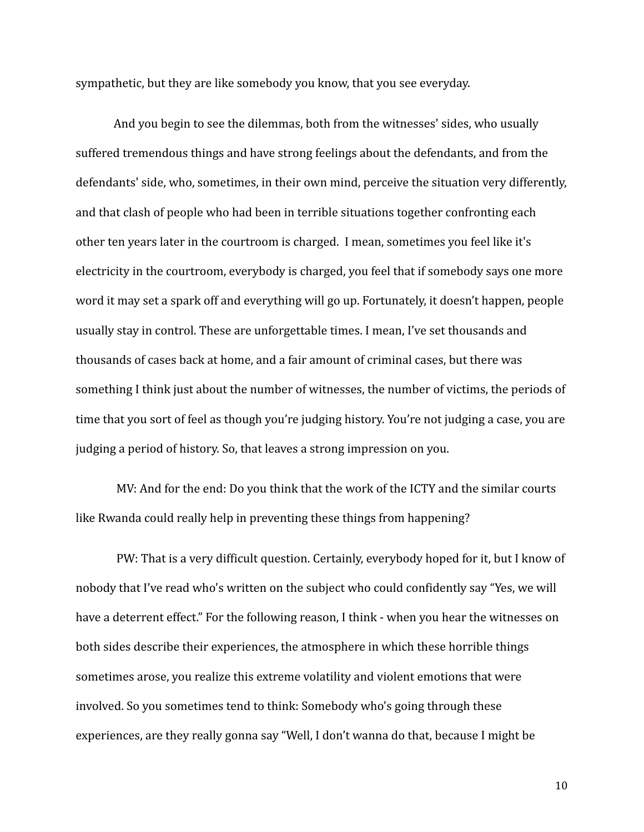sympathetic, but they are like somebody you know, that you see everyday.

And you begin to see the dilemmas, both from the witnesses' sides, who usually suffered tremendous things and have strong feelings about the defendants, and from the defendants' side, who, sometimes, in their own mind, perceive the situation very differently, and that clash of people who had been in terrible situations together confronting each other ten years later in the courtroom is charged. I mean, sometimes you feel like it's electricity in the courtroom, everybody is charged, you feel that if somebody says one more word it may set a spark off and everything will go up. Fortunately, it doesn't happen, people usually stay in control. These are unforgettable times. I mean, I've set thousands and thousands of cases back at home, and a fair amount of criminal cases, but there was something I think just about the number of witnesses, the number of victims, the periods of time that you sort of feel as though you're judging history. You're not judging a case, you are judging a period of history. So, that leaves a strong impression on you.

MV: And for the end: Do you think that the work of the ICTY and the similar courts like Rwanda could really help in preventing these things from happening?

PW: That is a very difficult question. Certainly, everybody hoped for it, but I know of nobody that I've read who's written on the subject who could confidently say "Yes, we will have a deterrent effect." For the following reason, I think - when you hear the witnesses on both sides describe their experiences, the atmosphere in which these horrible things sometimes arose, you realize this extreme volatility and violent emotions that were involved. So you sometimes tend to think: Somebody who's going through these experiences, are they really gonna say "Well, I don't wanna do that, because I might be